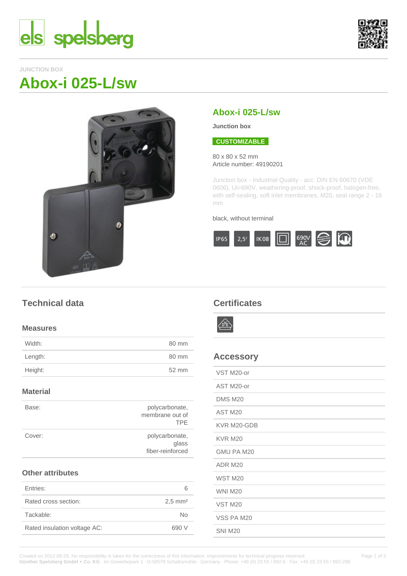



### **JUNCTION BOX**

# **Abox-i 025-L/sw**



## **Abox-i 025-L/sw**

**Junction box**

#### **CUSTOMIZABLE**

80 x 80 x 52 mm Article number: 49190201

Junction box - Industrial Quality - acc. DIN EN 60670 (VDE 0606), Ui=690V, weathering-proof, shock-proof, halogen-free, with self-sealing, soft inlet membranes, M20, seal range 2 - 16 mm

#### black, without terminal



## **Technical data**

#### **Measures**

| Width:  | 80 mm |
|---------|-------|
| Length: | 80 mm |
| Height: | 52 mm |
|         |       |

#### **Material**

| Base:  | polycarbonate,<br>membrane out of<br><b>TPF</b> |
|--------|-------------------------------------------------|
| Cover: | polycarbonate,<br>glass<br>fiber-reinforced     |

#### **Other attributes**

| Entries:                     |                      |
|------------------------------|----------------------|
| Rated cross section:         | $2.5 \, \text{mm}^2$ |
| Tackable:                    | Nο                   |
| Rated insulation voltage AC: | 690 V                |
|                              |                      |

## **Certificates**



## **Accessory**

| VST M20-or         |
|--------------------|
| AST M20-or         |
| <b>DMS M20</b>     |
| AST M20            |
| KVR M20-GDB        |
| <b>KVR M20</b>     |
| GMU PA M20         |
| ADR M20            |
| <b>WST M20</b>     |
| <b>WNI M20</b>     |
| VST <sub>M20</sub> |
| VSS PA M20         |
| <b>SNI M20</b>     |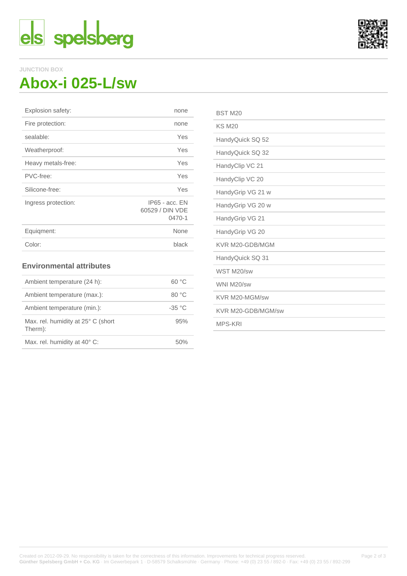



#### **JUNCTION BOX**

# **Abox-i 025-L/sw**

| none                                          |
|-----------------------------------------------|
| none                                          |
| Yes                                           |
| Yes                                           |
| Yes                                           |
| Yes                                           |
| Yes                                           |
| $IP65 - acc. EN$<br>60529 / DIN VDE<br>0470-1 |
| None                                          |
| black                                         |
|                                               |

#### **Environmental attributes**

| Ambient temperature (24 h):                   | 60 °C    |
|-----------------------------------------------|----------|
| Ambient temperature (max.):                   | 80 °C    |
| Ambient temperature (min.):                   | $-35 °C$ |
| Max. rel. humidity at 25° C (short<br>Therm): | 95%      |
| Max. rel. humidity at 40° C:                  | 50%      |

| BST <sub>M20</sub> |
|--------------------|
| <b>KS M20</b>      |
| HandyQuick SQ 52   |
| HandyQuick SQ 32   |
| HandyClip VC 21    |
| HandyClip VC 20    |
| HandyGrip VG 21 w  |
| HandyGrip VG 20 w  |
| HandyGrip VG 21    |
| HandyGrip VG 20    |
| KVR M20-GDB/MGM    |
| HandyQuick SQ 31   |
| WST M20/sw         |
| WNI M20/sw         |
| KVR M20-MGM/sw     |
| KVR M20-GDB/MGM/sw |
| <b>MPS-KRI</b>     |